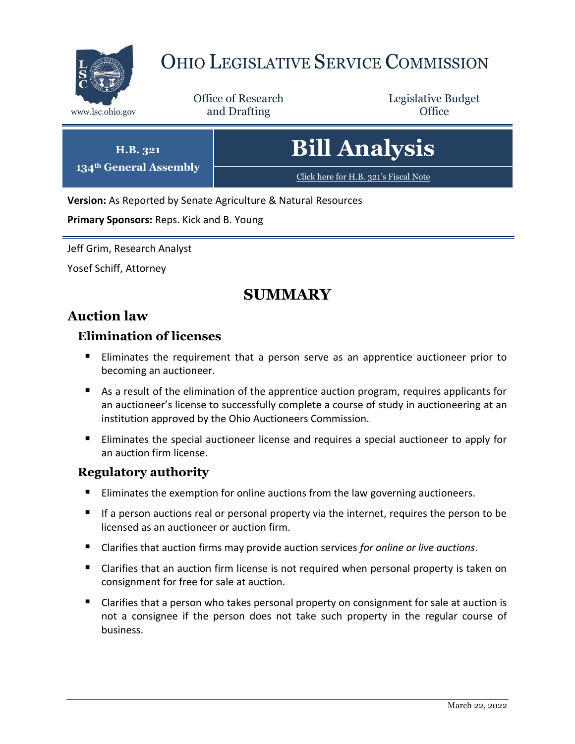

# OHIO LEGISLATIVE SERVICE COMMISSION

Office of Research www.lsc.ohio.gov **and Drafting Office** 

Legislative Budget



**Version:** As Reported by Senate Agriculture & Natural Resources

**Primary Sponsors:** Reps. Kick and B. Young

Jeff Grim, Research Analyst

Yosef Schiff, Attorney

# **SUMMARY**

# **Auction law**

#### **Elimination of licenses**

- Eliminates the requirement that a person serve as an apprentice auctioneer prior to becoming an auctioneer.
- As a result of the elimination of the apprentice auction program, requires applicants for an auctioneer's license to successfully complete a course of study in auctioneering at an institution approved by the Ohio Auctioneers Commission.
- **Eliminates the special auctioneer license and requires a special auctioneer to apply for** an auction firm license.

#### **Regulatory authority**

- Eliminates the exemption for online auctions from the law governing auctioneers.
- **If a person auctions real or personal property via the internet, requires the person to be** licensed as an auctioneer or auction firm.
- Clarifies that auction firms may provide auction services *for online or live auctions*.
- Clarifies that an auction firm license is not required when personal property is taken on consignment for free for sale at auction.
- Clarifies that a person who takes personal property on consignment for sale at auction is not a consignee if the person does not take such property in the regular course of business.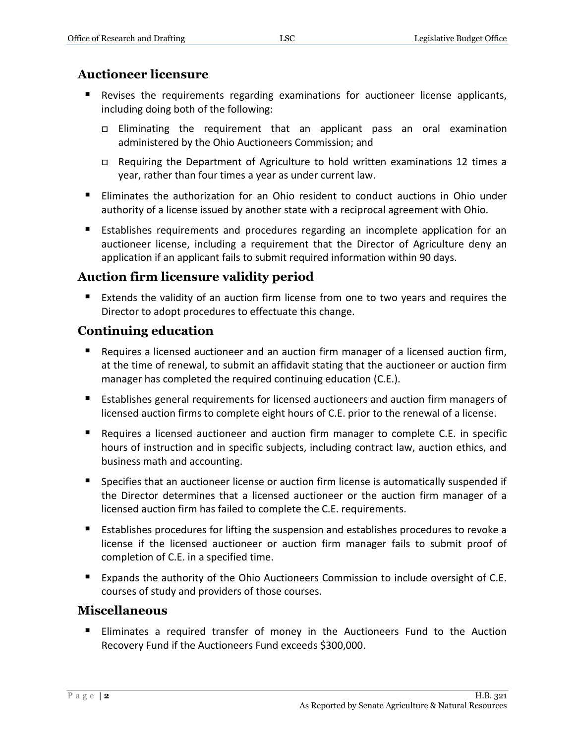#### **Auctioneer licensure**

- Revises the requirements regarding examinations for auctioneer license applicants, including doing both of the following:
	- Eliminating the requirement that an applicant pass an oral examination administered by the Ohio Auctioneers Commission; and
	- Requiring the Department of Agriculture to hold written examinations 12 times a year, rather than four times a year as under current law.
- Eliminates the authorization for an Ohio resident to conduct auctions in Ohio under authority of a license issued by another state with a reciprocal agreement with Ohio.
- Establishes requirements and procedures regarding an incomplete application for an auctioneer license, including a requirement that the Director of Agriculture deny an application if an applicant fails to submit required information within 90 days.

### **Auction firm licensure validity period**

 Extends the validity of an auction firm license from one to two years and requires the Director to adopt procedures to effectuate this change.

# **Continuing education**

- **Requires a licensed auctioneer and an auction firm manager of a licensed auction firm,** at the time of renewal, to submit an affidavit stating that the auctioneer or auction firm manager has completed the required continuing education (C.E.).
- Establishes general requirements for licensed auctioneers and auction firm managers of licensed auction firms to complete eight hours of C.E. prior to the renewal of a license.
- **Requires a licensed auctioneer and auction firm manager to complete C.E. in specific** hours of instruction and in specific subjects, including contract law, auction ethics, and business math and accounting.
- **Specifies that an auctioneer license or auction firm license is automatically suspended if** the Director determines that a licensed auctioneer or the auction firm manager of a licensed auction firm has failed to complete the C.E. requirements.
- Establishes procedures for lifting the suspension and establishes procedures to revoke a license if the licensed auctioneer or auction firm manager fails to submit proof of completion of C.E. in a specified time.
- **Expands the authority of the Ohio Auctioneers Commission to include oversight of C.E.** courses of study and providers of those courses.

### **Miscellaneous**

 Eliminates a required transfer of money in the Auctioneers Fund to the Auction Recovery Fund if the Auctioneers Fund exceeds \$300,000.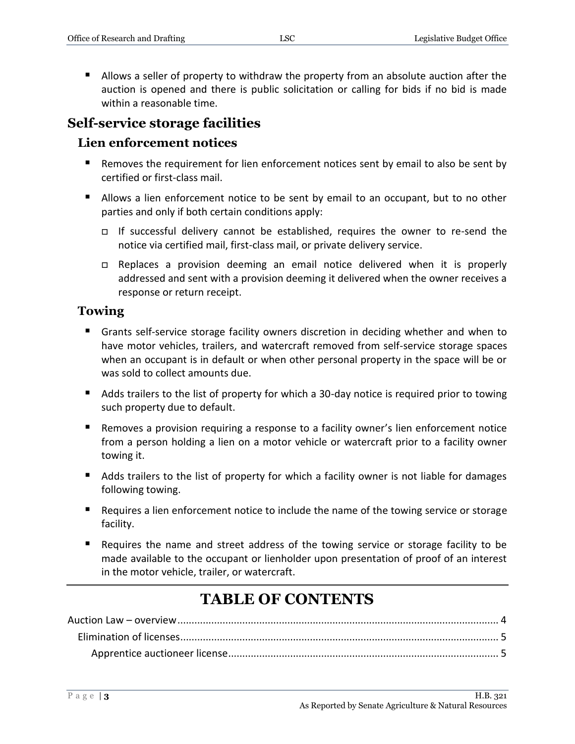Allows a seller of property to withdraw the property from an absolute auction after the auction is opened and there is public solicitation or calling for bids if no bid is made within a reasonable time.

# **Self-service storage facilities**

#### **Lien enforcement notices**

- Removes the requirement for lien enforcement notices sent by email to also be sent by certified or first-class mail.
- Allows a lien enforcement notice to be sent by email to an occupant, but to no other parties and only if both certain conditions apply:
	- If successful delivery cannot be established, requires the owner to re-send the notice via certified mail, first-class mail, or private delivery service.
	- Replaces a provision deeming an email notice delivered when it is properly addressed and sent with a provision deeming it delivered when the owner receives a response or return receipt.

#### **Towing**

- Grants self-service storage facility owners discretion in deciding whether and when to have motor vehicles, trailers, and watercraft removed from self-service storage spaces when an occupant is in default or when other personal property in the space will be or was sold to collect amounts due.
- Adds trailers to the list of property for which a 30-day notice is required prior to towing such property due to default.
- **Removes a provision requiring a response to a facility owner's lien enforcement notice** from a person holding a lien on a motor vehicle or watercraft prior to a facility owner towing it.
- Adds trailers to the list of property for which a facility owner is not liable for damages following towing.
- **Requires a lien enforcement notice to include the name of the towing service or storage** facility.
- Requires the name and street address of the towing service or storage facility to be made available to the occupant or lienholder upon presentation of proof of an interest in the motor vehicle, trailer, or watercraft.

# **TABLE OF CONTENTS**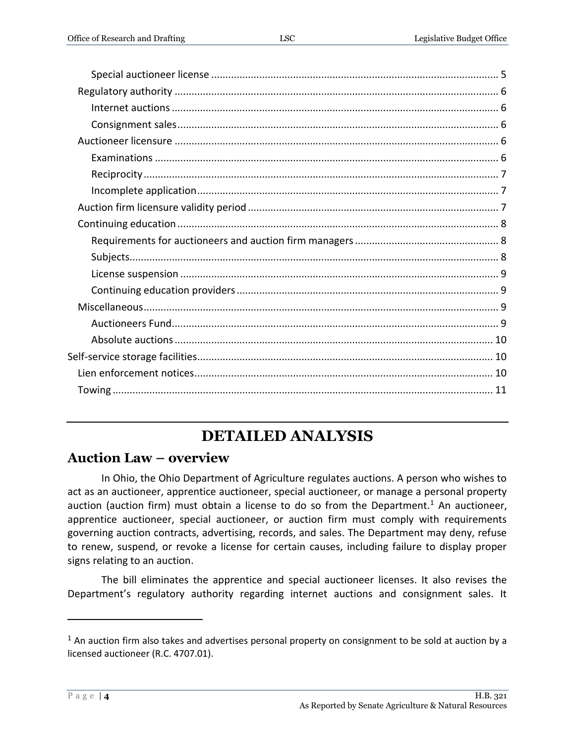# **DETAILED ANALYSIS**

# <span id="page-3-0"></span>**Auction Law – overview**

In Ohio, the Ohio Department of Agriculture regulates auctions. A person who wishes to act as an auctioneer, apprentice auctioneer, special auctioneer, or manage a personal property auction (auction firm) must obtain a license to do so from the Department.<sup>1</sup> An auctioneer, apprentice auctioneer, special auctioneer, or auction firm must comply with requirements governing auction contracts, advertising, records, and sales. The Department may deny, refuse to renew, suspend, or revoke a license for certain causes, including failure to display proper signs relating to an auction.

The bill eliminates the apprentice and special auctioneer licenses. It also revises the Department's regulatory authority regarding internet auctions and consignment sales. It

 $1$  An auction firm also takes and advertises personal property on consignment to be sold at auction by a licensed auctioneer (R.C. 4707.01).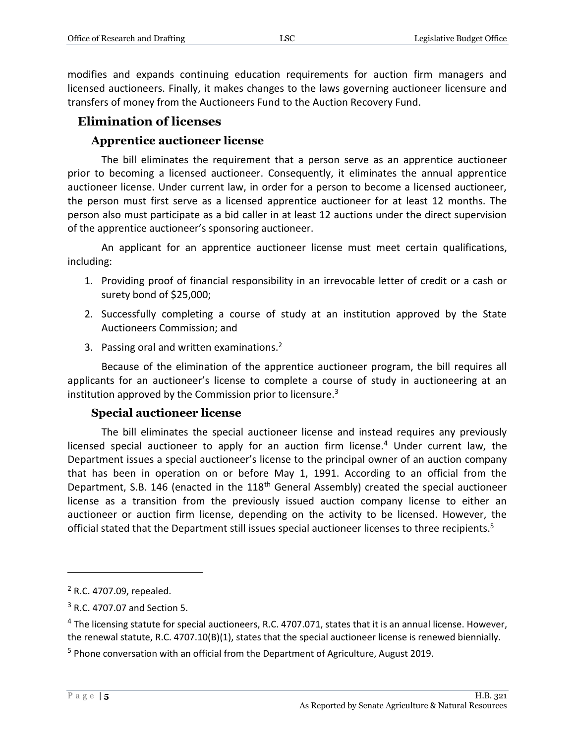modifies and expands continuing education requirements for auction firm managers and licensed auctioneers. Finally, it makes changes to the laws governing auctioneer licensure and transfers of money from the Auctioneers Fund to the Auction Recovery Fund.

# <span id="page-4-0"></span>**Elimination of licenses**

#### **Apprentice auctioneer license**

<span id="page-4-1"></span>The bill eliminates the requirement that a person serve as an apprentice auctioneer prior to becoming a licensed auctioneer. Consequently, it eliminates the annual apprentice auctioneer license. Under current law, in order for a person to become a licensed auctioneer, the person must first serve as a licensed apprentice auctioneer for at least 12 months. The person also must participate as a bid caller in at least 12 auctions under the direct supervision of the apprentice auctioneer's sponsoring auctioneer.

An applicant for an apprentice auctioneer license must meet certain qualifications, including:

- 1. Providing proof of financial responsibility in an irrevocable letter of credit or a cash or surety bond of \$25,000;
- 2. Successfully completing a course of study at an institution approved by the State Auctioneers Commission; and
- 3. Passing oral and written examinations.<sup>2</sup>

Because of the elimination of the apprentice auctioneer program, the bill requires all applicants for an auctioneer's license to complete a course of study in auctioneering at an institution approved by the Commission prior to licensure.<sup>3</sup>

#### **Special auctioneer license**

<span id="page-4-2"></span>The bill eliminates the special auctioneer license and instead requires any previously licensed special auctioneer to apply for an auction firm license.<sup>4</sup> Under current law, the Department issues a special auctioneer's license to the principal owner of an auction company that has been in operation on or before May 1, 1991. According to an official from the Department, S.B. 146 (enacted in the 118<sup>th</sup> General Assembly) created the special auctioneer license as a transition from the previously issued auction company license to either an auctioneer or auction firm license, depending on the activity to be licensed. However, the official stated that the Department still issues special auctioneer licenses to three recipients.<sup>5</sup>

<sup>2</sup> R.C. 4707.09, repealed.

<sup>3</sup> R.C. 4707.07 and Section 5.

<sup>&</sup>lt;sup>4</sup> The licensing statute for special auctioneers, R.C. 4707.071, states that it is an annual license. However, the renewal statute, R.C. 4707.10(B)(1), states that the special auctioneer license is renewed biennially.

<sup>5</sup> Phone conversation with an official from the Department of Agriculture, August 2019.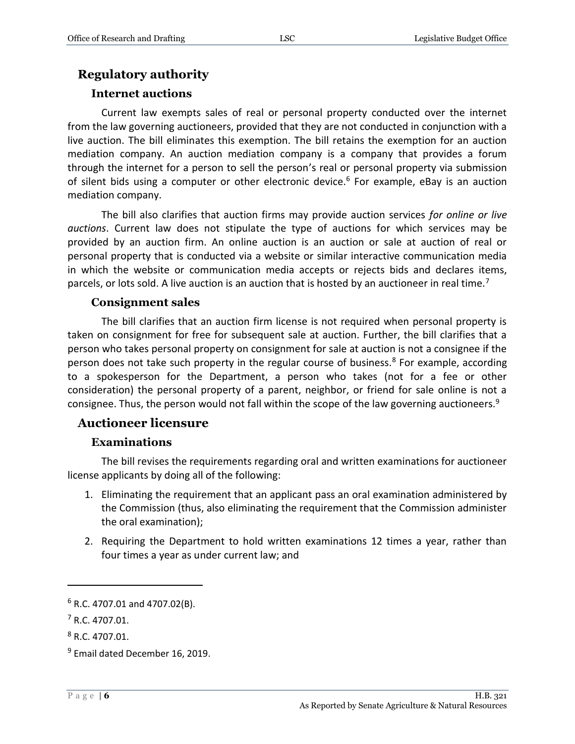# <span id="page-5-0"></span>**Regulatory authority**

#### **Internet auctions**

<span id="page-5-1"></span>Current law exempts sales of real or personal property conducted over the internet from the law governing auctioneers, provided that they are not conducted in conjunction with a live auction. The bill eliminates this exemption. The bill retains the exemption for an auction mediation company. An auction mediation company is a company that provides a forum through the internet for a person to sell the person's real or personal property via submission of silent bids using a computer or other electronic device.<sup>6</sup> For example, eBay is an auction mediation company.

The bill also clarifies that auction firms may provide auction services *for online or live auctions*. Current law does not stipulate the type of auctions for which services may be provided by an auction firm. An online auction is an auction or sale at auction of real or personal property that is conducted via a website or similar interactive communication media in which the website or communication media accepts or rejects bids and declares items, parcels, or lots sold. A live auction is an auction that is hosted by an auctioneer in real time.<sup>7</sup>

#### **Consignment sales**

<span id="page-5-2"></span>The bill clarifies that an auction firm license is not required when personal property is taken on consignment for free for subsequent sale at auction. Further, the bill clarifies that a person who takes personal property on consignment for sale at auction is not a consignee if the person does not take such property in the regular course of business.<sup>8</sup> For example, according to a spokesperson for the Department, a person who takes (not for a fee or other consideration) the personal property of a parent, neighbor, or friend for sale online is not a consignee. Thus, the person would not fall within the scope of the law governing auctioneers.<sup>9</sup>

### <span id="page-5-3"></span>**Auctioneer licensure**

#### **Examinations**

<span id="page-5-4"></span>The bill revises the requirements regarding oral and written examinations for auctioneer license applicants by doing all of the following:

- 1. Eliminating the requirement that an applicant pass an oral examination administered by the Commission (thus, also eliminating the requirement that the Commission administer the oral examination);
- 2. Requiring the Department to hold written examinations 12 times a year, rather than four times a year as under current law; and

 $6$  R.C. 4707.01 and 4707.02(B).

<sup>7</sup> R.C. 4707.01.

<sup>8</sup> R.C. 4707.01.

<sup>&</sup>lt;sup>9</sup> Email dated December 16, 2019.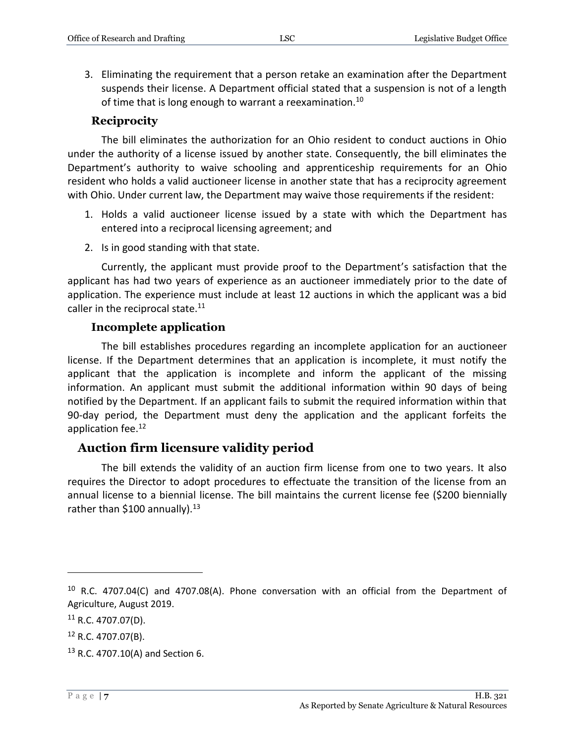3. Eliminating the requirement that a person retake an examination after the Department suspends their license. A Department official stated that a suspension is not of a length of time that is long enough to warrant a reexamination.<sup>10</sup>

#### **Reciprocity**

<span id="page-6-0"></span>The bill eliminates the authorization for an Ohio resident to conduct auctions in Ohio under the authority of a license issued by another state. Consequently, the bill eliminates the Department's authority to waive schooling and apprenticeship requirements for an Ohio resident who holds a valid auctioneer license in another state that has a reciprocity agreement with Ohio. Under current law, the Department may waive those requirements if the resident:

- 1. Holds a valid auctioneer license issued by a state with which the Department has entered into a reciprocal licensing agreement; and
- 2. Is in good standing with that state.

Currently, the applicant must provide proof to the Department's satisfaction that the applicant has had two years of experience as an auctioneer immediately prior to the date of application. The experience must include at least 12 auctions in which the applicant was a bid caller in the reciprocal state. $11$ 

#### **Incomplete application**

<span id="page-6-1"></span>The bill establishes procedures regarding an incomplete application for an auctioneer license. If the Department determines that an application is incomplete, it must notify the applicant that the application is incomplete and inform the applicant of the missing information. An applicant must submit the additional information within 90 days of being notified by the Department. If an applicant fails to submit the required information within that 90-day period, the Department must deny the application and the applicant forfeits the application fee.<sup>12</sup>

#### <span id="page-6-2"></span>**Auction firm licensure validity period**

The bill extends the validity of an auction firm license from one to two years. It also requires the Director to adopt procedures to effectuate the transition of the license from an annual license to a biennial license. The bill maintains the current license fee (\$200 biennially rather than \$100 annually).<sup>13</sup>

 $10$  R.C. 4707.04(C) and 4707.08(A). Phone conversation with an official from the Department of Agriculture, August 2019.

 $11$  R.C. 4707.07(D).

 $12$  R.C. 4707.07(B).

 $13$  R.C. 4707.10(A) and Section 6.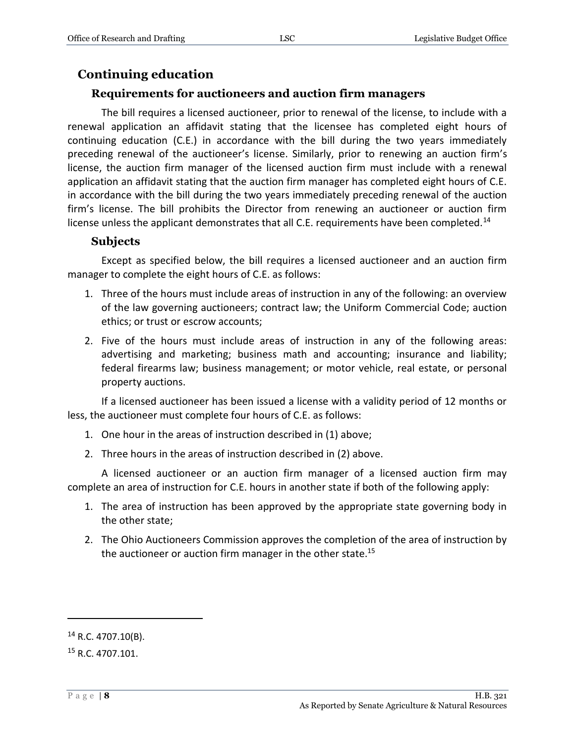# <span id="page-7-0"></span>**Continuing education**

#### **Requirements for auctioneers and auction firm managers**

<span id="page-7-1"></span>The bill requires a licensed auctioneer, prior to renewal of the license, to include with a renewal application an affidavit stating that the licensee has completed eight hours of continuing education (C.E.) in accordance with the bill during the two years immediately preceding renewal of the auctioneer's license. Similarly, prior to renewing an auction firm's license, the auction firm manager of the licensed auction firm must include with a renewal application an affidavit stating that the auction firm manager has completed eight hours of C.E. in accordance with the bill during the two years immediately preceding renewal of the auction firm's license. The bill prohibits the Director from renewing an auctioneer or auction firm license unless the applicant demonstrates that all C.E. requirements have been completed.<sup>14</sup>

#### **Subjects**

<span id="page-7-2"></span>Except as specified below, the bill requires a licensed auctioneer and an auction firm manager to complete the eight hours of C.E. as follows:

- 1. Three of the hours must include areas of instruction in any of the following: an overview of the law governing auctioneers; contract law; the Uniform Commercial Code; auction ethics; or trust or escrow accounts;
- 2. Five of the hours must include areas of instruction in any of the following areas: advertising and marketing; business math and accounting; insurance and liability; federal firearms law; business management; or motor vehicle, real estate, or personal property auctions.

If a licensed auctioneer has been issued a license with a validity period of 12 months or less, the auctioneer must complete four hours of C.E. as follows:

- 1. One hour in the areas of instruction described in (1) above;
- 2. Three hours in the areas of instruction described in (2) above.

A licensed auctioneer or an auction firm manager of a licensed auction firm may complete an area of instruction for C.E. hours in another state if both of the following apply:

- 1. The area of instruction has been approved by the appropriate state governing body in the other state;
- 2. The Ohio Auctioneers Commission approves the completion of the area of instruction by the auctioneer or auction firm manager in the other state.<sup>15</sup>

 $14$  R.C. 4707.10(B).

<sup>15</sup> R.C. 4707.101.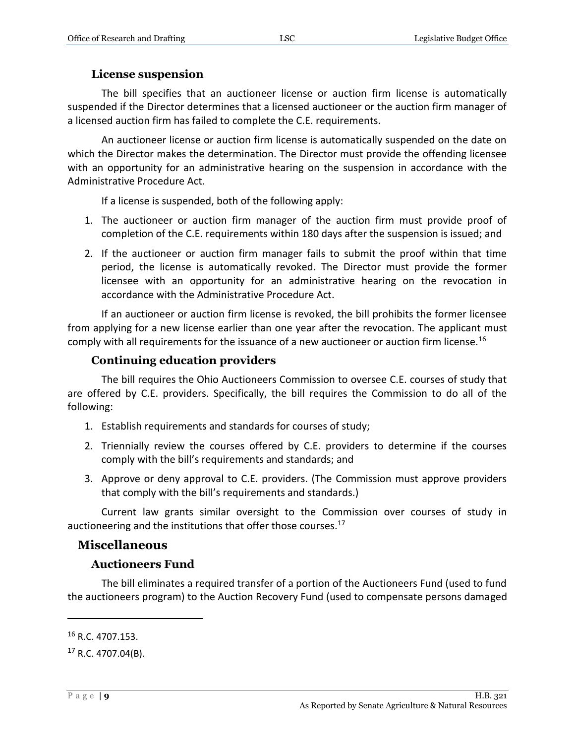#### **License suspension**

<span id="page-8-0"></span>The bill specifies that an auctioneer license or auction firm license is automatically suspended if the Director determines that a licensed auctioneer or the auction firm manager of a licensed auction firm has failed to complete the C.E. requirements.

An auctioneer license or auction firm license is automatically suspended on the date on which the Director makes the determination. The Director must provide the offending licensee with an opportunity for an administrative hearing on the suspension in accordance with the Administrative Procedure Act.

If a license is suspended, both of the following apply:

- 1. The auctioneer or auction firm manager of the auction firm must provide proof of completion of the C.E. requirements within 180 days after the suspension is issued; and
- 2. If the auctioneer or auction firm manager fails to submit the proof within that time period, the license is automatically revoked. The Director must provide the former licensee with an opportunity for an administrative hearing on the revocation in accordance with the Administrative Procedure Act.

If an auctioneer or auction firm license is revoked, the bill prohibits the former licensee from applying for a new license earlier than one year after the revocation. The applicant must comply with all requirements for the issuance of a new auctioneer or auction firm license.<sup>16</sup>

#### **Continuing education providers**

<span id="page-8-1"></span>The bill requires the Ohio Auctioneers Commission to oversee C.E. courses of study that are offered by C.E. providers. Specifically, the bill requires the Commission to do all of the following:

- 1. Establish requirements and standards for courses of study;
- 2. Triennially review the courses offered by C.E. providers to determine if the courses comply with the bill's requirements and standards; and
- 3. Approve or deny approval to C.E. providers. (The Commission must approve providers that comply with the bill's requirements and standards.)

Current law grants similar oversight to the Commission over courses of study in auctioneering and the institutions that offer those courses. $^{17}$ 

#### <span id="page-8-2"></span>**Miscellaneous**

#### **Auctioneers Fund**

<span id="page-8-3"></span>The bill eliminates a required transfer of a portion of the Auctioneers Fund (used to fund the auctioneers program) to the Auction Recovery Fund (used to compensate persons damaged

<sup>16</sup> R.C. 4707.153.

 $17$  R.C. 4707.04(B).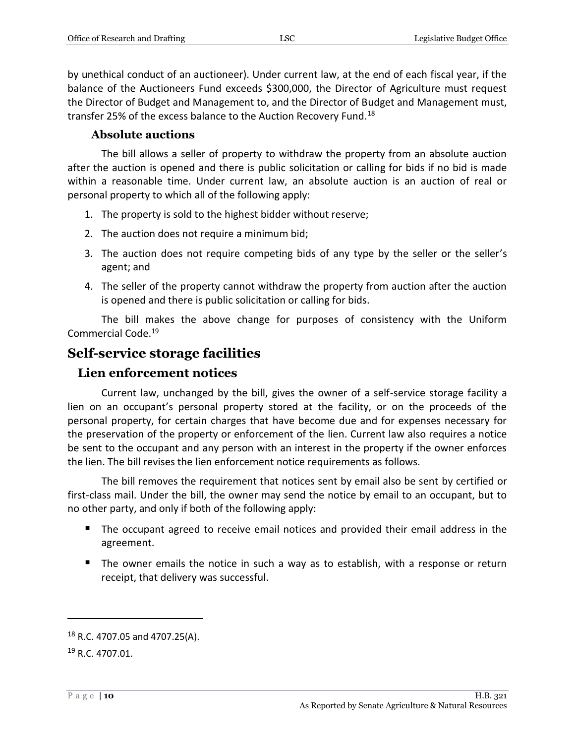by unethical conduct of an auctioneer). Under current law, at the end of each fiscal year, if the balance of the Auctioneers Fund exceeds \$300,000, the Director of Agriculture must request the Director of Budget and Management to, and the Director of Budget and Management must, transfer 25% of the excess balance to the Auction Recovery Fund.<sup>18</sup>

# **Absolute auctions**

<span id="page-9-0"></span>The bill allows a seller of property to withdraw the property from an absolute auction after the auction is opened and there is public solicitation or calling for bids if no bid is made within a reasonable time. Under current law, an absolute auction is an auction of real or personal property to which all of the following apply:

- 1. The property is sold to the highest bidder without reserve;
- 2. The auction does not require a minimum bid;
- 3. The auction does not require competing bids of any type by the seller or the seller's agent; and
- 4. The seller of the property cannot withdraw the property from auction after the auction is opened and there is public solicitation or calling for bids.

The bill makes the above change for purposes of consistency with the Uniform Commercial Code.<sup>19</sup>

# <span id="page-9-1"></span>**Self-service storage facilities**

# <span id="page-9-2"></span>**Lien enforcement notices**

Current law, unchanged by the bill, gives the owner of a self-service storage facility a lien on an occupant's personal property stored at the facility, or on the proceeds of the personal property, for certain charges that have become due and for expenses necessary for the preservation of the property or enforcement of the lien. Current law also requires a notice be sent to the occupant and any person with an interest in the property if the owner enforces the lien. The bill revises the lien enforcement notice requirements as follows.

The bill removes the requirement that notices sent by email also be sent by certified or first-class mail. Under the bill, the owner may send the notice by email to an occupant, but to no other party, and only if both of the following apply:

- The occupant agreed to receive email notices and provided their email address in the agreement.
- The owner emails the notice in such a way as to establish, with a response or return receipt, that delivery was successful.

<sup>18</sup> R.C. 4707.05 and 4707.25(A).

<sup>19</sup> R.C. 4707.01.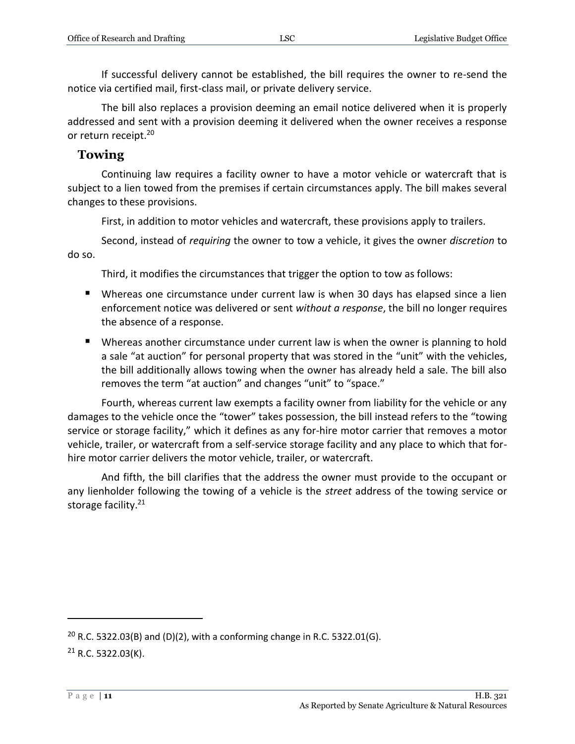If successful delivery cannot be established, the bill requires the owner to re-send the notice via certified mail, first-class mail, or private delivery service.

The bill also replaces a provision deeming an email notice delivered when it is properly addressed and sent with a provision deeming it delivered when the owner receives a response or return receipt.<sup>20</sup>

### <span id="page-10-0"></span>**Towing**

Continuing law requires a facility owner to have a motor vehicle or watercraft that is subject to a lien towed from the premises if certain circumstances apply. The bill makes several changes to these provisions.

First, in addition to motor vehicles and watercraft, these provisions apply to trailers.

Second, instead of *requiring* the owner to tow a vehicle, it gives the owner *discretion* to do so.

Third, it modifies the circumstances that trigger the option to tow as follows:

- Whereas one circumstance under current law is when 30 days has elapsed since a lien enforcement notice was delivered or sent *without a response*, the bill no longer requires the absence of a response.
- Whereas another circumstance under current law is when the owner is planning to hold a sale "at auction" for personal property that was stored in the "unit" with the vehicles, the bill additionally allows towing when the owner has already held a sale. The bill also removes the term "at auction" and changes "unit" to "space."

Fourth, whereas current law exempts a facility owner from liability for the vehicle or any damages to the vehicle once the "tower" takes possession, the bill instead refers to the "towing service or storage facility," which it defines as any for-hire motor carrier that removes a motor vehicle, trailer, or watercraft from a self-service storage facility and any place to which that forhire motor carrier delivers the motor vehicle, trailer, or watercraft.

And fifth, the bill clarifies that the address the owner must provide to the occupant or any lienholder following the towing of a vehicle is the *street* address of the towing service or storage facility.<sup>21</sup>

<sup>&</sup>lt;sup>20</sup> R.C. 5322.03(B) and (D)(2), with a conforming change in R.C. 5322.01(G).  $21$  R.C. 5322.03(K).